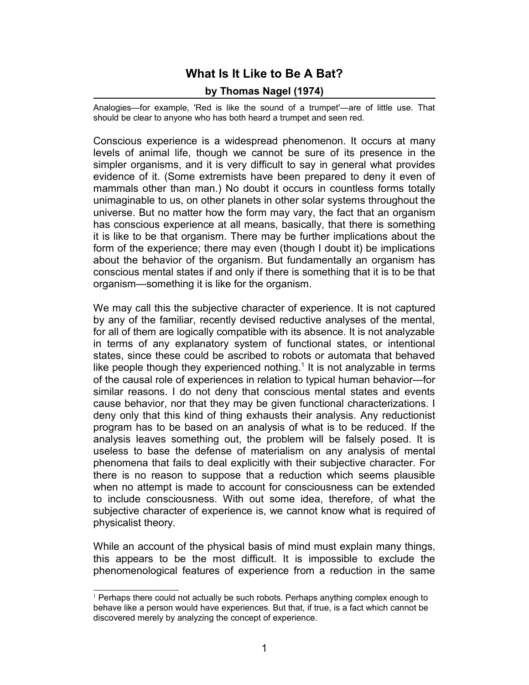## **What Is It Like to Be A Bat?**

## **by Thomas Nagel (1974)**

Analogies—for example, 'Red is like the sound of a trumpet'—are of little use. That should be clear to anyone who has both heard a trumpet and seen red.

Conscious experience is a widespread phenomenon. It occurs at many levels of animal life, though we cannot be sure of its presence in the simpler organisms, and it is very difficult to say in general what provides evidence of it. (Some extremists have been prepared to deny it even of mammals other than man.) No doubt it occurs in countless forms totally unimaginable to us, on other planets in other solar systems throughout the universe. But no matter how the form may vary, the fact that an organism has conscious experience at all means, basically, that there is something it is like to be that organism. There may be further implications about the form of the experience; there may even (though I doubt it) be implications about the behavior of the organism. But fundamentally an organism has conscious mental states if and only if there is something that it is to be that organism—something it is like for the organism.

We may call this the subjective character of experience. It is not captured by any of the familiar, recently devised reductive analyses of the mental, for all of them are logically compatible with its absence. It is not analyzable in terms of any explanatory system of functional states, or intentional states, since these could be ascribed to robots or automata that behaved like people though they experienced nothing. $<sup>1</sup>$  It is not analyzable in terms</sup> of the causal role of experiences in relation to typical human behavior—for similar reasons. I do not deny that conscious mental states and events cause behavior, nor that they may be given functional characterizations. I deny only that this kind of thing exhausts their analysis. Any reductionist program has to be based on an analysis of what is to be reduced. If the analysis leaves something out, the problem will be falsely posed. It is useless to base the defense of materialism on any analysis of mental phenomena that fails to deal explicitly with their subjective character. For there is no reason to suppose that a reduction which seems plausible when no attempt is made to account for consciousness can be extended to include consciousness. With out some idea, therefore, of what the subjective character of experience is, we cannot know what is required of physicalist theory.

While an account of the physical basis of mind must explain many things, this appears to be the most difficult. It is impossible to exclude the phenomenological features of experience from a reduction in the same

<span id="page-0-0"></span><sup>&</sup>lt;sup>1</sup> Perhaps there could not actually be such robots. Perhaps anything complex enough to behave like a person would have experiences. But that, if true, is a fact which cannot be discovered merely by analyzing the concept of experience.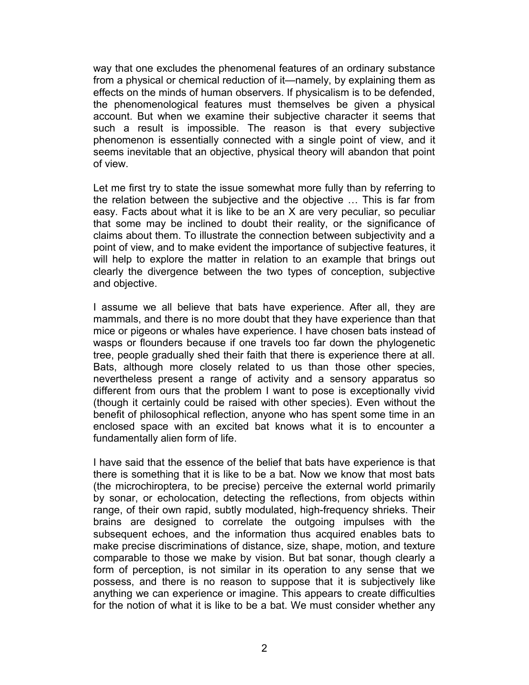way that one excludes the phenomenal features of an ordinary substance from a physical or chemical reduction of it—namely, by explaining them as effects on the minds of human observers. If physicalism is to be defended, the phenomenological features must themselves be given a physical account. But when we examine their subjective character it seems that such a result is impossible. The reason is that every subjective phenomenon is essentially connected with a single point of view, and it seems inevitable that an objective, physical theory will abandon that point of view.

Let me first try to state the issue somewhat more fully than by referring to the relation between the subjective and the objective … This is far from easy. Facts about what it is like to be an X are very peculiar, so peculiar that some may be inclined to doubt their reality, or the significance of claims about them. To illustrate the connection between subjectivity and a point of view, and to make evident the importance of subjective features, it will help to explore the matter in relation to an example that brings out clearly the divergence between the two types of conception, subjective and objective.

I assume we all believe that bats have experience. After all, they are mammals, and there is no more doubt that they have experience than that mice or pigeons or whales have experience. I have chosen bats instead of wasps or flounders because if one travels too far down the phylogenetic tree, people gradually shed their faith that there is experience there at all. Bats, although more closely related to us than those other species, nevertheless present a range of activity and a sensory apparatus so different from ours that the problem I want to pose is exceptionally vivid (though it certainly could be raised with other species). Even without the benefit of philosophical reflection, anyone who has spent some time in an enclosed space with an excited bat knows what it is to encounter a fundamentally alien form of life.

I have said that the essence of the belief that bats have experience is that there is something that it is like to be a bat. Now we know that most bats (the microchiroptera, to be precise) perceive the external world primarily by sonar, or echolocation, detecting the reflections, from objects within range, of their own rapid, subtly modulated, high-frequency shrieks. Their brains are designed to correlate the outgoing impulses with the subsequent echoes, and the information thus acquired enables bats to make precise discriminations of distance, size, shape, motion, and texture comparable to those we make by vision. But bat sonar, though clearly a form of perception, is not similar in its operation to any sense that we possess, and there is no reason to suppose that it is subjectively like anything we can experience or imagine. This appears to create difficulties for the notion of what it is like to be a bat. We must consider whether any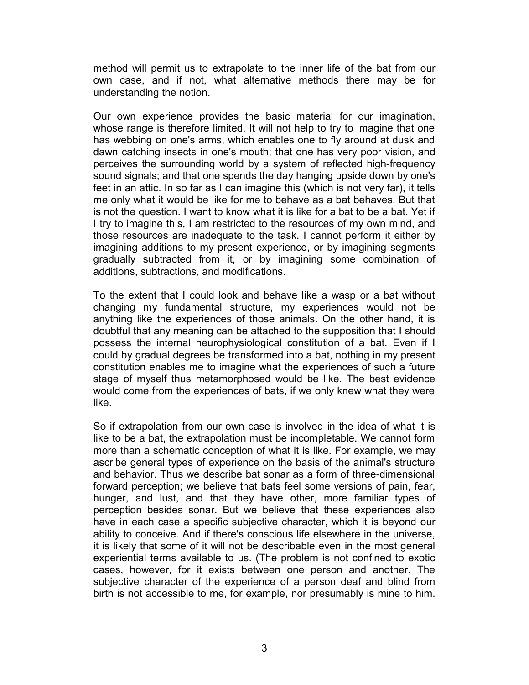method will permit us to extrapolate to the inner life of the bat from our own case, and if not, what alternative methods there may be for understanding the notion.

Our own experience provides the basic material for our imagination, whose range is therefore limited. It will not help to try to imagine that one has webbing on one's arms, which enables one to fly around at dusk and dawn catching insects in one's mouth; that one has very poor vision, and perceives the surrounding world by a system of reflected high-frequency sound signals; and that one spends the day hanging upside down by one's feet in an attic. In so far as I can imagine this (which is not very far), it tells me only what it would be like for me to behave as a bat behaves. But that is not the question. I want to know what it is like for a bat to be a bat. Yet if I try to imagine this, I am restricted to the resources of my own mind, and those resources are inadequate to the task. I cannot perform it either by imagining additions to my present experience, or by imagining segments gradually subtracted from it, or by imagining some combination of additions, subtractions, and modifications.

To the extent that I could look and behave like a wasp or a bat without changing my fundamental structure, my experiences would not be anything like the experiences of those animals. On the other hand, it is doubtful that any meaning can be attached to the supposition that I should possess the internal neurophysiological constitution of a bat. Even if I could by gradual degrees be transformed into a bat, nothing in my present constitution enables me to imagine what the experiences of such a future stage of myself thus metamorphosed would be like. The best evidence would come from the experiences of bats, if we only knew what they were like.

So if extrapolation from our own case is involved in the idea of what it is like to be a bat, the extrapolation must be incompletable. We cannot form more than a schematic conception of what it is like. For example, we may ascribe general types of experience on the basis of the animal's structure and behavior. Thus we describe bat sonar as a form of three-dimensional forward perception; we believe that bats feel some versions of pain, fear, hunger, and lust, and that they have other, more familiar types of perception besides sonar. But we believe that these experiences also have in each case a specific subjective character, which it is beyond our ability to conceive. And if there's conscious life elsewhere in the universe, it is likely that some of it will not be describable even in the most general experiential terms available to us. (The problem is not confined to exotic cases, however, for it exists between one person and another. The subjective character of the experience of a person deaf and blind from birth is not accessible to me, for example, nor presumably is mine to him.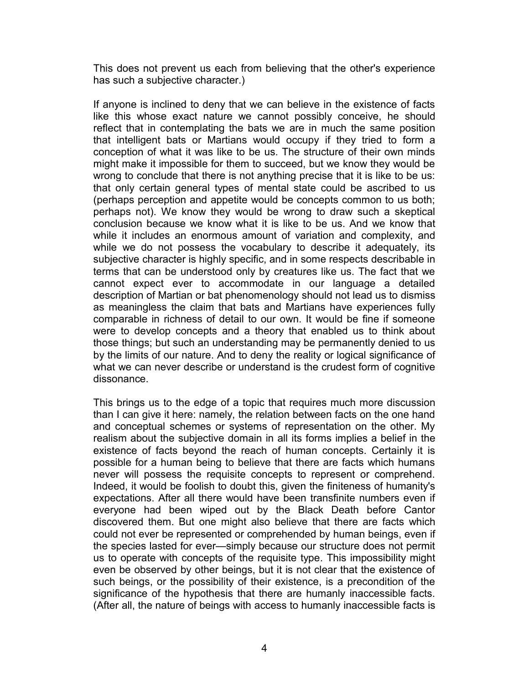This does not prevent us each from believing that the other's experience has such a subjective character.)

If anyone is inclined to deny that we can believe in the existence of facts like this whose exact nature we cannot possibly conceive, he should reflect that in contemplating the bats we are in much the same position that intelligent bats or Martians would occupy if they tried to form a conception of what it was like to be us. The structure of their own minds might make it impossible for them to succeed, but we know they would be wrong to conclude that there is not anything precise that it is like to be us: that only certain general types of mental state could be ascribed to us (perhaps perception and appetite would be concepts common to us both; perhaps not). We know they would be wrong to draw such a skeptical conclusion because we know what it is like to be us. And we know that while it includes an enormous amount of variation and complexity, and while we do not possess the vocabulary to describe it adequately, its subjective character is highly specific, and in some respects describable in terms that can be understood only by creatures like us. The fact that we cannot expect ever to accommodate in our language a detailed description of Martian or bat phenomenology should not lead us to dismiss as meaningless the claim that bats and Martians have experiences fully comparable in richness of detail to our own. It would be fine if someone were to develop concepts and a theory that enabled us to think about those things; but such an understanding may be permanently denied to us by the limits of our nature. And to deny the reality or logical significance of what we can never describe or understand is the crudest form of cognitive dissonance.

This brings us to the edge of a topic that requires much more discussion than I can give it here: namely, the relation between facts on the one hand and conceptual schemes or systems of representation on the other. My realism about the subjective domain in all its forms implies a belief in the existence of facts beyond the reach of human concepts. Certainly it is possible for a human being to believe that there are facts which humans never will possess the requisite concepts to represent or comprehend. Indeed, it would be foolish to doubt this, given the finiteness of humanity's expectations. After all there would have been transfinite numbers even if everyone had been wiped out by the Black Death before Cantor discovered them. But one might also believe that there are facts which could not ever be represented or comprehended by human beings, even if the species lasted for ever—simply because our structure does not permit us to operate with concepts of the requisite type. This impossibility might even be observed by other beings, but it is not clear that the existence of such beings, or the possibility of their existence, is a precondition of the significance of the hypothesis that there are humanly inaccessible facts. (After all, the nature of beings with access to humanly inaccessible facts is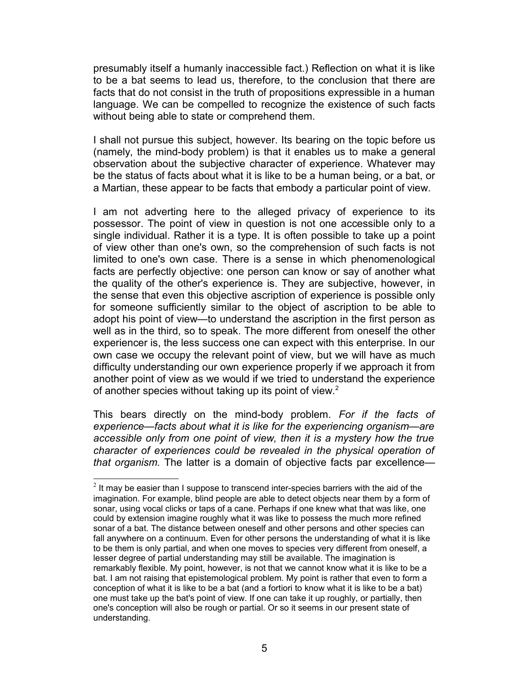presumably itself a humanly inaccessible fact.) Reflection on what it is like to be a bat seems to lead us, therefore, to the conclusion that there are facts that do not consist in the truth of propositions expressible in a human language. We can be compelled to recognize the existence of such facts without being able to state or comprehend them.

I shall not pursue this subject, however. Its bearing on the topic before us (namely, the mind-body problem) is that it enables us to make a general observation about the subjective character of experience. Whatever may be the status of facts about what it is like to be a human being, or a bat, or a Martian, these appear to be facts that embody a particular point of view.

I am not adverting here to the alleged privacy of experience to its possessor. The point of view in question is not one accessible only to a single individual. Rather it is a type. It is often possible to take up a point of view other than one's own, so the comprehension of such facts is not limited to one's own case. There is a sense in which phenomenological facts are perfectly objective: one person can know or say of another what the quality of the other's experience is. They are subjective, however, in the sense that even this objective ascription of experience is possible only for someone sufficiently similar to the object of ascription to be able to adopt his point of view—to understand the ascription in the first person as well as in the third, so to speak. The more different from oneself the other experiencer is, the less success one can expect with this enterprise. In our own case we occupy the relevant point of view, but we will have as much difficulty understanding our own experience properly if we approach it from another point of view as we would if we tried to understand the experience of another species without taking up its point of view. $2$ 

This bears directly on the mind-body problem. *For if the facts of experience—facts about what it is like for the experiencing organism—are accessible only from one point of view, then it is a mystery how the true character of experiences could be revealed in the physical operation of that organism.* The latter is a domain of objective facts par excellence—

<span id="page-4-0"></span> $^2$  It may be easier than I suppose to transcend inter-species barriers with the aid of the imagination. For example, blind people are able to detect objects near them by a form of sonar, using vocal clicks or taps of a cane. Perhaps if one knew what that was like, one could by extension imagine roughly what it was like to possess the much more refined sonar of a bat. The distance between oneself and other persons and other species can fall anywhere on a continuum. Even for other persons the understanding of what it is like to be them is only partial, and when one moves to species very different from oneself, a lesser degree of partial understanding may still be available. The imagination is remarkably flexible. My point, however, is not that we cannot know what it is like to be a bat. I am not raising that epistemological problem. My point is rather that even to form a conception of what it is like to be a bat (and a fortiori to know what it is like to be a bat) one must take up the bat's point of view. If one can take it up roughly, or partially, then one's conception will also be rough or partial. Or so it seems in our present state of understanding.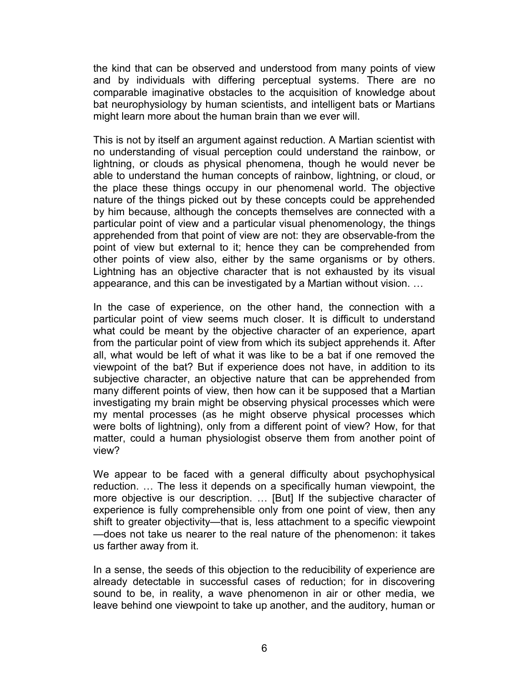the kind that can be observed and understood from many points of view and by individuals with differing perceptual systems. There are no comparable imaginative obstacles to the acquisition of knowledge about bat neurophysiology by human scientists, and intelligent bats or Martians might learn more about the human brain than we ever will.

This is not by itself an argument against reduction. A Martian scientist with no understanding of visual perception could understand the rainbow, or lightning, or clouds as physical phenomena, though he would never be able to understand the human concepts of rainbow, lightning, or cloud, or the place these things occupy in our phenomenal world. The objective nature of the things picked out by these concepts could be apprehended by him because, although the concepts themselves are connected with a particular point of view and a particular visual phenomenology, the things apprehended from that point of view are not: they are observable-from the point of view but external to it; hence they can be comprehended from other points of view also, either by the same organisms or by others. Lightning has an objective character that is not exhausted by its visual appearance, and this can be investigated by a Martian without vision. …

In the case of experience, on the other hand, the connection with a particular point of view seems much closer. It is difficult to understand what could be meant by the objective character of an experience, apart from the particular point of view from which its subject apprehends it. After all, what would be left of what it was like to be a bat if one removed the viewpoint of the bat? But if experience does not have, in addition to its subjective character, an objective nature that can be apprehended from many different points of view, then how can it be supposed that a Martian investigating my brain might be observing physical processes which were my mental processes (as he might observe physical processes which were bolts of lightning), only from a different point of view? How, for that matter, could a human physiologist observe them from another point of view?

We appear to be faced with a general difficulty about psychophysical reduction. … The less it depends on a specifically human viewpoint, the more objective is our description. … [But] If the subjective character of experience is fully comprehensible only from one point of view, then any shift to greater objectivity—that is, less attachment to a specific viewpoint —does not take us nearer to the real nature of the phenomenon: it takes us farther away from it.

In a sense, the seeds of this objection to the reducibility of experience are already detectable in successful cases of reduction; for in discovering sound to be, in reality, a wave phenomenon in air or other media, we leave behind one viewpoint to take up another, and the auditory, human or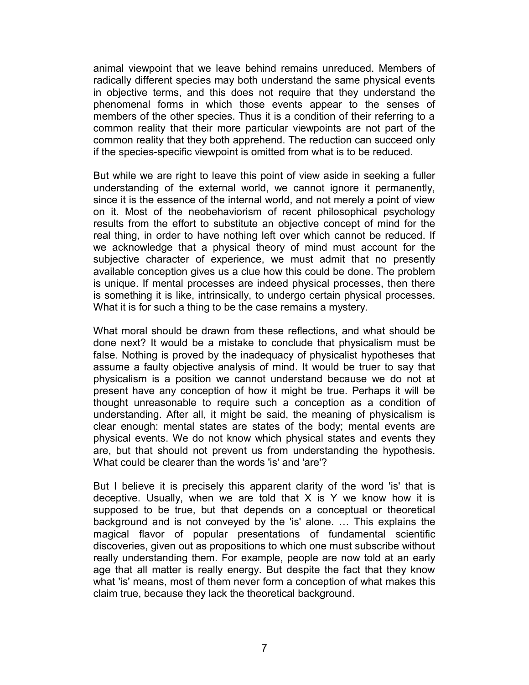animal viewpoint that we leave behind remains unreduced. Members of radically different species may both understand the same physical events in objective terms, and this does not require that they understand the phenomenal forms in which those events appear to the senses of members of the other species. Thus it is a condition of their referring to a common reality that their more particular viewpoints are not part of the common reality that they both apprehend. The reduction can succeed only if the species-specific viewpoint is omitted from what is to be reduced.

But while we are right to leave this point of view aside in seeking a fuller understanding of the external world, we cannot ignore it permanently, since it is the essence of the internal world, and not merely a point of view on it. Most of the neobehaviorism of recent philosophical psychology results from the effort to substitute an objective concept of mind for the real thing, in order to have nothing left over which cannot be reduced. If we acknowledge that a physical theory of mind must account for the subjective character of experience, we must admit that no presently available conception gives us a clue how this could be done. The problem is unique. If mental processes are indeed physical processes, then there is something it is like, intrinsically, to undergo certain physical processes. What it is for such a thing to be the case remains a mystery.

What moral should be drawn from these reflections, and what should be done next? It would be a mistake to conclude that physicalism must be false. Nothing is proved by the inadequacy of physicalist hypotheses that assume a faulty objective analysis of mind. It would be truer to say that physicalism is a position we cannot understand because we do not at present have any conception of how it might be true. Perhaps it will be thought unreasonable to require such a conception as a condition of understanding. After all, it might be said, the meaning of physicalism is clear enough: mental states are states of the body; mental events are physical events. We do not know which physical states and events they are, but that should not prevent us from understanding the hypothesis. What could be clearer than the words 'is' and 'are'?

But I believe it is precisely this apparent clarity of the word 'is' that is deceptive. Usually, when we are told that  $X$  is  $Y$  we know how it is supposed to be true, but that depends on a conceptual or theoretical background and is not conveyed by the 'is' alone. … This explains the magical flavor of popular presentations of fundamental scientific discoveries, given out as propositions to which one must subscribe without really understanding them. For example, people are now told at an early age that all matter is really energy. But despite the fact that they know what 'is' means, most of them never form a conception of what makes this claim true, because they lack the theoretical background.